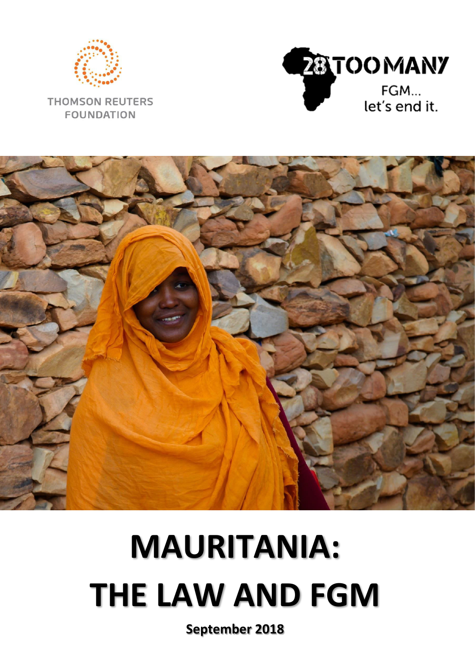

**THOMSON REUTERS FOUNDATION** 





# **MAURITANIA: THE LAW AND FGM**

**September 2018**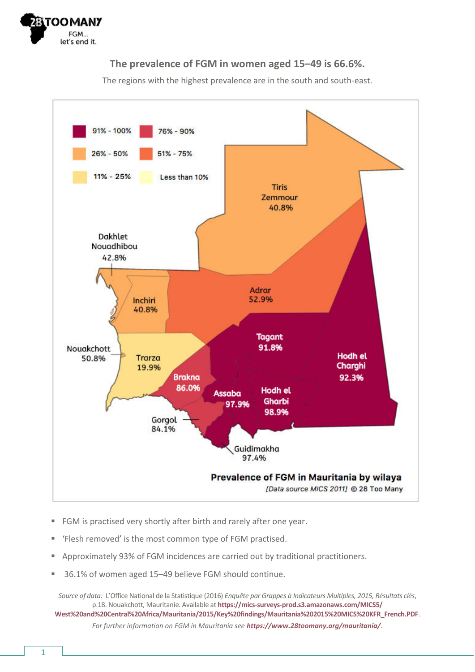

#### **The prevalence of FGM in women aged 15–49 is 66.6%.**

The regions with the highest prevalence are in the south and south-east.



- FGM is practised very shortly after birth and rarely after one year.
- 'Flesh removed' is the most common type of FGM practised.
- Approximately 93% of FGM incidences are carried out by traditional practitioners.
- 36.1% of women aged 15-49 believe FGM should continue.

*Source of data: L'Office National de la Statistique (2016) Enquête par Grappes à Indicateurs Multiples, 2015, Résultats clés,* p.18. Nouakchott, Mauritanie. Available at **[https://mics-surveys-prod.s3.amazonaws.com/MICS5/](https://mics-surveys-prod.s3.amazonaws.com/MICS5/West%20and%20Central%20Africa/Mauritania/2015/Key%20findings/Mauritania%202015%20MICS%20KFR_French.PDF)** 

**[West%20and%20Central%20Africa/Mauritania/2015/Key%20findings/Mauritania%202015%20MICS%20KFR\\_French.PDF](https://mics-surveys-prod.s3.amazonaws.com/MICS5/West%20and%20Central%20Africa/Mauritania/2015/Key%20findings/Mauritania%202015%20MICS%20KFR_French.PDF)**. *For further information on FGM in Mauritania see [https://www.28toomany.org/mauritania/](https://www.28toomany.org/country/mauritania/).*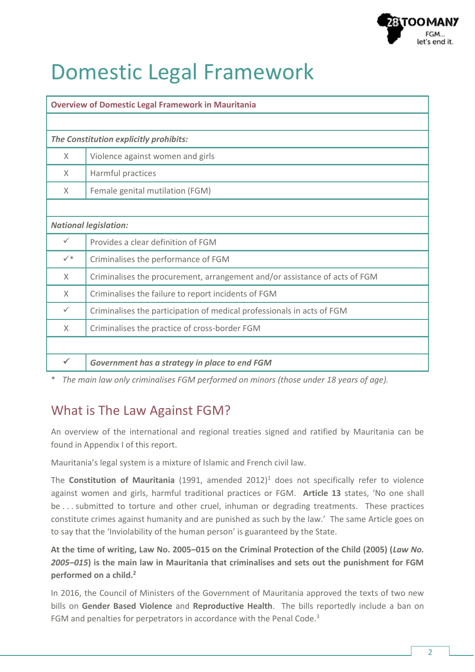

# Domestic Legal Framework

| <b>Overview of Domestic Legal Framework in Mauritania</b> |                                                                            |  |  |  |  |
|-----------------------------------------------------------|----------------------------------------------------------------------------|--|--|--|--|
|                                                           |                                                                            |  |  |  |  |
| The Constitution explicitly prohibits:                    |                                                                            |  |  |  |  |
| $\times$                                                  | Violence against women and girls                                           |  |  |  |  |
| X                                                         | Harmful practices                                                          |  |  |  |  |
| X                                                         | Female genital mutilation (FGM)                                            |  |  |  |  |
|                                                           |                                                                            |  |  |  |  |
| <b>National legislation:</b>                              |                                                                            |  |  |  |  |
| $\checkmark$                                              | Provides a clear definition of FGM                                         |  |  |  |  |
| $\checkmark$                                              | Criminalises the performance of FGM                                        |  |  |  |  |
| X                                                         | Criminalises the procurement, arrangement and/or assistance of acts of FGM |  |  |  |  |
| $\times$                                                  | Criminalises the failure to report incidents of FGM                        |  |  |  |  |
| $\checkmark$                                              | Criminalises the participation of medical professionals in acts of FGM     |  |  |  |  |
| X                                                         | Criminalises the practice of cross-border FGM                              |  |  |  |  |
|                                                           |                                                                            |  |  |  |  |
|                                                           | Government has a strategy in place to end FGM                              |  |  |  |  |

\* *The main law only criminalises FGM performed on minors (those under 18 years of age).* 

### What is The Law Against FGM?

An overview of the international and regional treaties signed and ratified by Mauritania can be found in Appendix I of this report.

Mauritania's legal system is a mixture of Islamic and French civil law.

The **Constitution of Mauritania** (1991, amended 2012)<sup>1</sup> does not specifically refer to violence against women and girls, harmful traditional practices or FGM. Article 13 states, 'No one shall be . . . submitted to torture and other cruel, inhuman or degrading treatments. These practices constitute crimes against humanity and are punished as such by the law.' The same Article goes on to say that the 'Inviolability of the human person' is guaranteed by the State.

**At the time of writing, Law No. 2005–015 on the Criminal Protection of the Child (2005) (***Law No. 2005–015***) is the main law in Mauritania that criminalises and sets out the punishment for FGM performed on a child.<sup>2</sup>**

In 2016, the Council of Ministers of the Government of Mauritania approved the texts of two new bills on **Gender Based Violence** and **Reproductive Health**. The bills reportedly include a ban on FGM and penalties for perpetrators in accordance with the Penal Code.<sup>3</sup>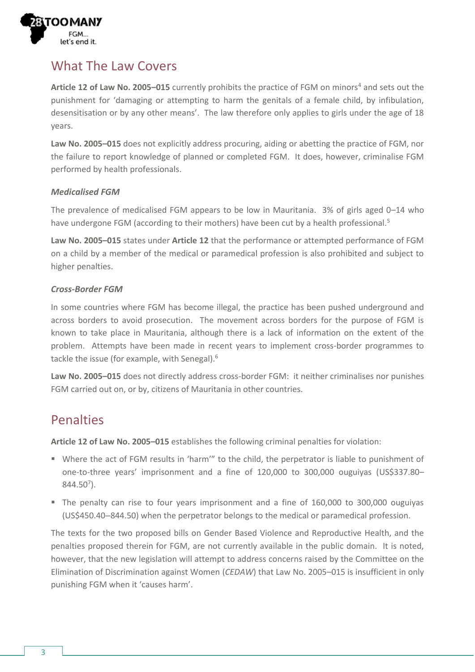

### What The Law Covers

Article 12 of Law No. 2005-015 currently prohibits the practice of FGM on minors<sup>4</sup> and sets out the punishment for 'damaging or attempting to harm the genitals of a female child, by infibulation, desensitisation or by any other means'. The law therefore only applies to girls under the age of 18 years.

**Law No. 2005–015** does not explicitly address procuring, aiding or abetting the practice of FGM, nor the failure to report knowledge of planned or completed FGM. It does, however, criminalise FGM performed by health professionals.

#### *Medicalised FGM*

The prevalence of medicalised FGM appears to be low in Mauritania. 3% of girls aged 0–14 who have undergone FGM (according to their mothers) have been cut by a health professional.<sup>5</sup>

**Law No. 2005–015** states under **Article 12** that the performance or attempted performance of FGM on a child by a member of the medical or paramedical profession is also prohibited and subject to higher penalties.

#### *Cross-Border FGM*

In some countries where FGM has become illegal, the practice has been pushed underground and across borders to avoid prosecution. The movement across borders for the purpose of FGM is known to take place in Mauritania, although there is a lack of information on the extent of the problem. Attempts have been made in recent years to implement cross-border programmes to tackle the issue (for example, with Senegal).<sup>6</sup>

**Law No. 2005–015** does not directly address cross-border FGM: it neither criminalises nor punishes FGM carried out on, or by, citizens of Mauritania in other countries.

#### Penalties

**Article 12 of Law No. 2005–015** establishes the following criminal penalties for violation:

- Where the act of FGM results in 'harm'" to the child, the perpetrator is liable to punishment of one-to-three years͛ imprisonment and a fine of 120,000 to 300,000 ouguiyas (US\$337.80–  $844.50<sup>7</sup>$ ).
- The penalty can rise to four years imprisonment and a fine of 160,000 to 300,000 ouguiyas (US\$450.40–844.50) when the perpetrator belongs to the medical or paramedical profession.

The texts for the two proposed bills on Gender Based Violence and Reproductive Health, and the penalties proposed therein for FGM, are not currently available in the public domain. It is noted, however, that the new legislation will attempt to address concerns raised by the Committee on the Elimination of Discrimination against Women (*CEDAW*) that Law No. 2005–015 is insufficient in only punishing FGM when it 'causes harm'.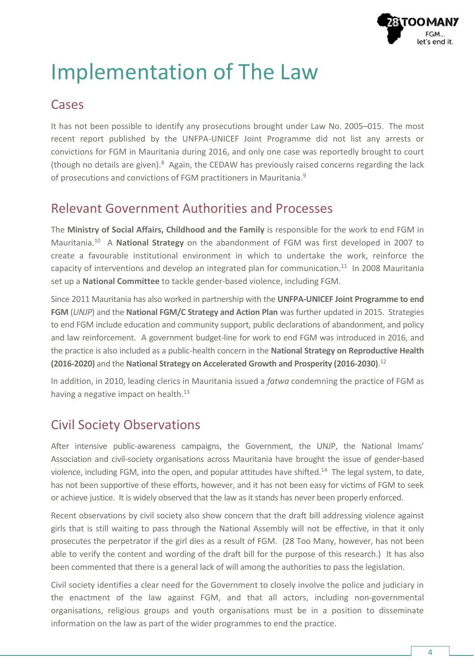

# Implementation of The Law

#### **Cases**

It has not been possible to identify any prosecutions brought under Law No. 2005–015. The most recent report published by the UNFPA-UNICEF Joint Programme did not list any arrests or convictions for FGM in Mauritania during 2016, and only one case was reportedly brought to court (though no details are given).<sup>8</sup> Again, the CEDAW has previously raised concerns regarding the lack of prosecutions and convictions of FGM practitioners in Mauritania.<sup>9</sup>

#### Relevant Government Authorities and Processes

The **Ministry of Social Affairs, Childhood and the Family** is responsible for the work to end FGM in Mauritania.<sup>10</sup> A National Strategy on the abandonment of FGM was first developed in 2007 to create a favourable institutional environment in which to undertake the work, reinforce the capacity of interventions and develop an integrated plan for communication.<sup>11</sup> In 2008 Mauritania set up a **National Committee** to tackle gender-based violence, including FGM.

Since 2011 Mauritania has also worked in partnership with the **UNFPA-UNICEF Joint Programme to end FGM** (*UNJP*) and the **National FGM/C Strategy and Action Plan** was further updated in 2015. Strategies to end FGM include education and community support, public declarations of abandonment, and policy and law reinforcement. A government budget-line for work to end FGM was introduced in 2016, and the practice is also included as a public-health concern in the **National Strategy on Reproductive Health (2016-2020)** and the **National Strategy on Accelerated Growth and Prosperity (2016-2030)**. 12

In addition, in 2010, leading clerics in Mauritania issued a *fatwa* condemning the practice of FGM as having a negative impact on health. $^{13}$ 

### Civil Society Observations

After intensive public-awareness campaigns, the Government, the UNJP, the National Imams' Association and civil-society organisations across Mauritania have brought the issue of gender-based violence, including FGM, into the open, and popular attitudes have shifted.<sup>14</sup> The legal system, to date, has not been supportive of these efforts, however, and it has not been easy for victims of FGM to seek or achieve justice. It is widely observed that the law as it stands has never been properly enforced.

Recent observations by civil society also show concern that the draft bill addressing violence against girls that is still waiting to pass through the National Assembly will not be effective, in that it only prosecutes the perpetrator if the girl dies as a result of FGM. (28 Too Many, however, has not been able to verify the content and wording of the draft bill for the purpose of this research.) It has also been commented that there is a general lack of will among the authorities to pass the legislation.

Civil society identifies a clear need for the Government to closely involve the police and judiciary in the enactment of the law against FGM, and that all actors, including non-governmental organisations, religious groups and youth organisations must be in a position to disseminate information on the law as part of the wider programmes to end the practice.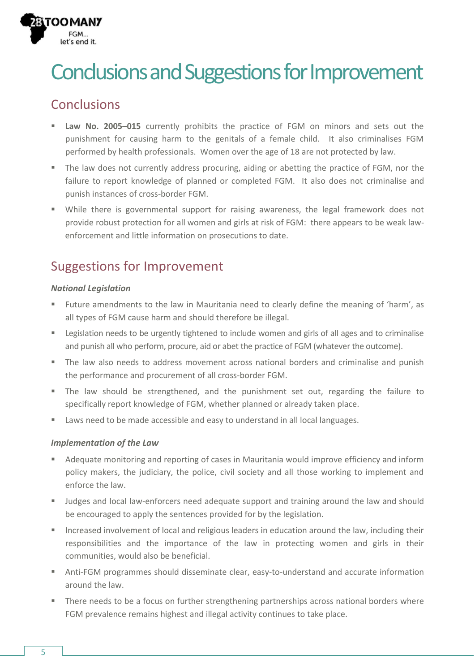

# Conclusions and Suggestions for Improvement

### Conclusions

- **Law No. 2005-015** currently prohibits the practice of FGM on minors and sets out the punishment for causing harm to the genitals of a female child. It also criminalises FGM performed by health professionals. Women over the age of 18 are not protected by law.
- The law does not currently address procuring, aiding or abetting the practice of FGM, nor the failure to report knowledge of planned or completed FGM. It also does not criminalise and punish instances of cross-border FGM.
- While there is governmental support for raising awareness, the legal framework does not provide robust protection for all women and girls at risk of FGM: there appears to be weak lawenforcement and little information on prosecutions to date.

## Suggestions for Improvement

#### *National Legislation*

- Future amendments to the law in Mauritania need to clearly define the meaning of 'harm', as all types of FGM cause harm and should therefore be illegal.
- **EXECUTE:** Legislation needs to be urgently tightened to include women and girls of all ages and to criminalise and punish all who perform, procure, aid or abet the practice of FGM (whatever the outcome).
- The law also needs to address movement across national borders and criminalise and punish the performance and procurement of all cross-border FGM.
- The law should be strengthened, and the punishment set out, regarding the failure to specifically report knowledge of FGM, whether planned or already taken place.
- Laws need to be made accessible and easy to understand in all local languages.

#### *Implementation of the Law*

- Adequate monitoring and reporting of cases in Mauritania would improve efficiency and inform policy makers, the judiciary, the police, civil society and all those working to implement and enforce the law.
- Judges and local law-enforcers need adequate support and training around the law and should be encouraged to apply the sentences provided for by the legislation.
- Increased involvement of local and religious leaders in education around the law, including their responsibilities and the importance of the law in protecting women and girls in their communities, would also be beneficial.
- Anti-FGM programmes should disseminate clear, easy-to-understand and accurate information around the law.
- There needs to be a focus on further strengthening partnerships across national borders where FGM prevalence remains highest and illegal activity continues to take place.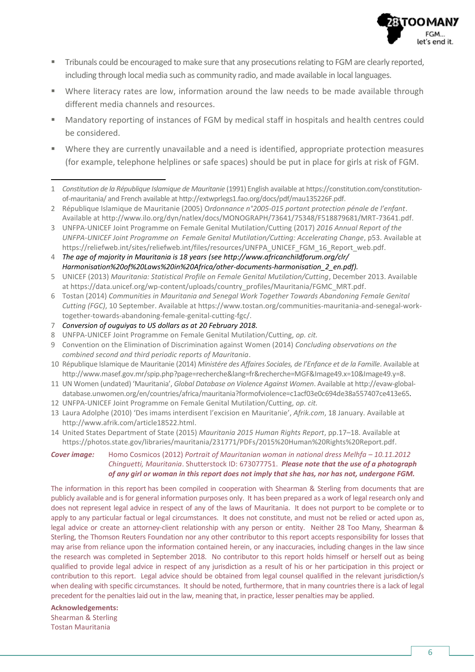

- **•** Tribunals could be encouraged to make sure that any prosecutions relating to FGM are clearly reported, including through local media such as community radio, and made available in local languages.
- Where literacy rates are low, information around the law needs to be made available through different media channels and resources.
- Mandatory reporting of instances of FGM by medical staff in hospitals and health centres could be considered.
- Where they are currently unavailable and a need is identified, appropriate protection measures (for example, telephone helplines or safe spaces) should be put in place for girls at risk of FGM.

- 2 République Islamique de Mauritanie (2005) Ordonnance n°2005-015 portant protection pénale de l'enfant. Available a[t http://www.ilo.org/dyn/natlex/docs/MONOGRAPH/73641/75348/F518879681/MRT-73641.pdf.](http://www.ilo.org/dyn/natlex/docs/MONOGRAPH/73641/75348/F518879681/MRT-73641.pdf)
- 3 UNFPA-UNICEF Joint Programme on Female Genital Mutilation/Cutting (2017) *2016 Annual Report of the UNFPA-UNICEF Joint Programme on Female Genital Mutilation/Cutting: Accelerating Change*, p53. Available at https://reliefweb.int/sites/reliefweb.int/files/resources/UNFPA\_UNICEF\_FGM\_16\_Report\_web.pdf.

4 *The age of majority in Mauritania is 18 years (se[e http://www.africanchildforum.org/clr/](http://www.africanchildforum.org/clr/Harmonisation%20of%20Laws%20in%20Africa/other-documents-harmonisation_2_en.pdf)  [Harmonisation%20of%20Laws%20in%20Africa/other-documents-harmonisation\\_2\\_en.pdf\)](http://www.africanchildforum.org/clr/Harmonisation%20of%20Laws%20in%20Africa/other-documents-harmonisation_2_en.pdf).*

- 7 *Conversion of ouguiyas to US dollars as at 20 February 2018.*
- 8 UNFPA-UNICEF Joint Programme on Female Genital Mutilation/Cutting, *op. cit.*
- 9 Convention on the Elimination of Discrimination against Women (2014) *Concluding observations on the combined second and third periodic reports of Mauritania*.
- 10 République Islamique de Mauritanie (2014) *Ministére des Affaires Sociales, de l'Enfance et de la Famille*. Available at [http://www.masef.gov.mr/spip.php?page=recherche&lang=fr&recherche=MGF&Image49.x=10&Image49.y=8.](http://www.masef.gov.mr/spip.php?page=recherche&lang=fr&recherche=MGF&Image49.x=10&Image49.y=8)
- 11 UN Women (undated) 'Mauritania', *Global Database on Violence Against Women*. Available a[t http://evaw-global](http://evaw-global-database.unwomen.org/en/countries/africa/mauritania?formofviolence=c1acf03e0c694de38a557407ce413e65)[database.unwomen.org/en/countries/africa/mauritania?formofviolence=c1acf03e0c694de38a557407ce413e65.](http://evaw-global-database.unwomen.org/en/countries/africa/mauritania?formofviolence=c1acf03e0c694de38a557407ce413e65)
- 12 UNFPA-UNICEF Joint Programme on Female Genital Mutilation/Cutting, *op. cit.*
- 13 Laura Adolphe (2010) 'Des imams interdisent l'excision en Mauritanie', Afrik.com, 18 January. Available at [http://www.afrik.com/article18522.html.](http://www.afrik.com/article18522.html)
- 14 United States Department of State (2015) *Mauritania 2015 Human Rights Report*, pp.17–18. Available at [https://photos.state.gov/libraries/mauritania/231771/PDFs/2015%20Human%20Rights%20Report.pdf.](https://photos.state.gov/libraries/mauritania/231771/PDFs/2015%20Human%20Rights%20Report.pdf)

**Cover image:** Homo Cosmicos (2012) *Portrait of Mauritanian woman in national dress Melhfa – 10.11.2012 Chinguetti, Mauritania*. Shutterstock ID: 673077751. *Please note that the use of a photograph of any girl or woman in this report does not imply that she has, nor has not, undergone FGM.*

The information in this report has been compiled in cooperation with Shearman & Sterling from documents that are publicly available and is for general information purposes only. It has been prepared as a work of legal research only and does not represent legal advice in respect of any of the laws of Mauritania. It does not purport to be complete or to apply to any particular factual or legal circumstances. It does not constitute, and must not be relied or acted upon as, legal advice or create an attorney-client relationship with any person or entity. Neither 28 Too Many, Shearman & Sterling, the Thomson Reuters Foundation nor any other contributor to this report accepts responsibility for losses that may arise from reliance upon the information contained herein, or any inaccuracies, including changes in the law since the research was completed in September 2018. No contributor to this report holds himself or herself out as being qualified to provide legal advice in respect of any jurisdiction as a result of his or her participation in this project or contribution to this report. Legal advice should be obtained from legal counsel qualified in the relevant jurisdiction/s when dealing with specific circumstances. It should be noted, furthermore, that in many countries there is a lack of legal precedent for the penalties laid out in the law, meaning that, in practice, lesser penalties may be applied.

**Acknowledgements:**  Shearman & Sterling Tostan Mauritania

 $\overline{a}$ 

<sup>1</sup> *Constitution de la République Islamique de Mauritanie* (1991) English available a[t https://constitution.com/constitution](https://constitution.com/constitution-of-mauritania/)[of-mauritania/ a](https://constitution.com/constitution-of-mauritania/)nd French available a[t http://extwprlegs1.fao.org/docs/pdf/mau135226F.pdf.](http://extwprlegs1.fao.org/docs/pdf/mau135226F.pdf)

<sup>5</sup> UNICEF (2013) *Mauritania: Statistical Profile on Female Genital Mutilation/Cutting*, December 2013. Available a[t https://data.unicef.org/wp-content/uploads/country\\_profiles/Mauritania/FGMC\\_MRT.pdf.](https://data.unicef.org/wp-content/uploads/country_profiles/Mauritania/FGMC_MRT.pdf)

<sup>6</sup> Tostan (2014) *Communities in Mauritania and Senegal Work Together Towards Abandoning Female Genital Cutting (FGC)*, 10 September. Available a[t https://www.tostan.org/communities-mauritania-and-senegal-work](https://www.tostan.org/communities-mauritania-and-senegal-work-together-towards-abandoning-female-genital-cutting-fgc/)[together-towards-abandoning-female-genital-cutting-fgc/.](https://www.tostan.org/communities-mauritania-and-senegal-work-together-towards-abandoning-female-genital-cutting-fgc/)